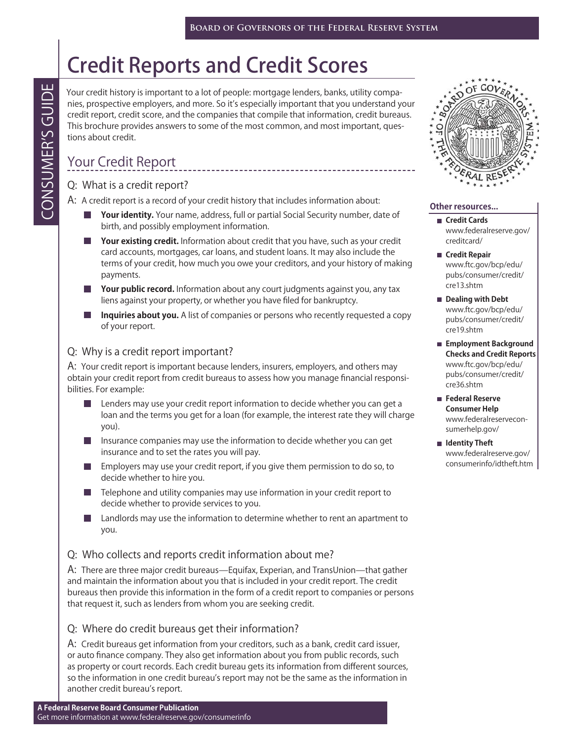# Credit Reports and Credit Scores

Your credit history is important to a lot of people: mortgage lenders, banks, utility companies, prospective employers, and more. So it's especially important that you understand your credit report, credit score, and the companies that compile that information, credit bureaus. This brochure provides answers to some of the most common, and most important, questions about credit.

# Your Credit Report

Q: What is a credit report?

A: A credit report is a record of your credit history that includes information about:

- Your identity. Your name, address, full or partial Social Security number, date of birth, and possibly employment information.
- **Your existing credit.** Information about credit that you have, such as your credit card accounts, mortgages, car loans, and student loans. It may also include the terms of your credit, how much you owe your creditors, and your history of making payments.
- **Your public record.** Information about any court judgments against you, any tax liens against your property, or whether you have filed for bankruptcy.
- **Inquiries about you.** A list of companies or persons who recently requested a copy of your report.

# Q: Why is a credit report important?

A: Your credit report is important because lenders, insurers, employers, and others may obtain your credit report from credit bureaus to assess how you manage financial responsibilities. For example:

- **Lenders may use your credit report information to decide whether you can get a** loan and the terms you get for a loan (for example, the interest rate they will charge you).
- $\blacksquare$  Insurance companies may use the information to decide whether you can get insurance and to set the rates you will pay.
- Employers may use your credit report, if you give them permission to do so, to decide whether to hire you.
- Telephone and utility companies may use information in your credit report to decide whether to provide services to you.
- Landlords may use the information to determine whether to rent an apartment to you.

#### Q: Who collects and reports credit information about me?

A: There are three major credit bureaus̶Equifax, Experian, and TransUnion̶that gather and maintain the information about you that is included in your credit report. The credit bureaus then provide this information in the form of a credit report to companies or persons that request it, such as lenders from whom you are seeking credit.

#### Q: Where do credit bureaus get their information?

A: Credit bureaus get information from your creditors, such as a bank, credit card issuer, or auto finance company. They also get information about you from public records, such as property or court records. Each credit bureau gets its information from different sources, so the information in one credit bureau's report may not be the same as the information in another credit bureau's report. Vour credit history is important to a lot of people:<br>
This borchure proples:<br>
and more. So it's espectre employers, and mec sonic for the more interest<br>
This borchure provides answers to some of the more interest.<br>
Your C



#### **Other resources...**

- **Credit Cards** [www.federalreserve.gov/](http://www.federalreserve.gov/creditcard/) creditcard/
- **Credit Repair** www.ftc.gov/bcp/edu/ [pubs/consumer/credit/](http://www.ftc.gov/bcp/edu/pubs/consumer/credit/cre13.shtm) cre13.shtm
- **Dealing with Debt** www.ftc.gov/bcp/edu/ [pubs/consumer/credit/](http://www.ftc.gov/bcp/edu/pubs/consumer/credit/cre19.shtm) cre19.shtm
- **Employment Background Checks and Credit Reports** www.ftc.gov/bcp/edu/ [pubs/consumer/credit/](http://www.ftc.gov/bcp/edu/pubs/consumer/credit/cre36.shtm) cre36.shtm
- **Federal Reserve Consumer Help** [www.federalreservecon](http://www.federalreserveconsumerhelp.gov/)sumerhelp.gov/
- **I**I Identity Theft www.federalreserve.gov/ [consumerinfo/idtheft.htm](http://www.federalreserve.gov/consumerinfo/idtheft.htm)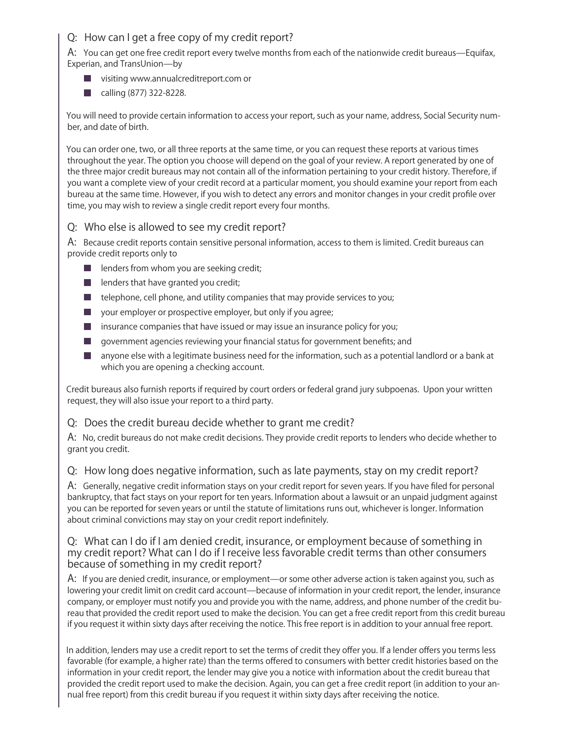## Q: How can I get a free copy of my credit report?

A: You can get one free credit report every twelve months from each of the nationwide credit bureaus—Equifax, Experian, and TransUnion̶by

- visiting [www.annualcreditreport.com](http://www.annualcreditreport.com) or
- calling (877) 322-8228.

You will need to provide certain information to access your report, such as your name, address, Social Security number, and date of birth.

You can order one, two, or all three reports at the same time, or you can request these reports at various times throughout the year. The option you choose will depend on the goal of your review. A report generated by one of the three major credit bureaus may not contain all of the information pertaining to your credit history. Therefore, if you want a complete view of your credit record at a particular moment, you should examine your report from each bureau at the same time. However, if you wish to detect any errors and monitor changes in your credit profile over time, you may wish to review a single credit report every four months.

#### Q: Who else is allowed to see my credit report?

A: Because credit reports contain sensitive personal information, access to them is limited. Credit bureaus can provide credit reports only to

- $\blacksquare$  lenders from whom you are seeking credit;
- $\blacksquare$  lenders that have granted you credit;
- $\blacksquare$  telephone, cell phone, and utility companies that may provide services to you;
- **U** your employer or prospective employer, but only if you agree;
- $\blacksquare$  insurance companies that have issued or may issue an insurance policy for you;
- $\Box$  government agencies reviewing your financial status for government benefits; and
- **In** anyone else with a legitimate business need for the information, such as a potential landlord or a bank at which you are opening a checking account.

Credit bureaus also furnish reports if required by court orders or federal grand jury subpoenas. Upon your written request, they will also issue your report to a third party.

#### Q: Does the credit bureau decide whether to grant me credit?

A: No, credit bureaus do not make credit decisions. They provide credit reports to lenders who decide whether to grant you credit.

Q: How long does negative information, such as late payments, stay on my credit report?

A: Generally, negative credit information stays on your credit report for seven years. If you have filed for personal bankruptcy, that fact stays on your report for ten years. Information about a lawsuit or an unpaid judgment against you can be reported for seven years or until the statute of limitations runs out, whichever is longer. Information about criminal convictions may stay on your credit report indefinitely.

#### Q: What can I do if I am denied credit, insurance, or employment because of something in my credit report? What can I do if I receive less favorable credit terms than other consumers because of something in my credit report?

A: If you are denied credit, insurance, or employment—or some other adverse action is taken against you, such as lowering your credit limit on credit card account—because of information in your credit report, the lender, insurance company, or employer must notify you and provide you with the name, address, and phone number of the credit bureau that provided the credit report used to make the decision. You can get a free credit report from this credit bureau if you request it within sixty days after receiving the notice. This free report is in addition to your annual free report.

In addition, lenders may use a credit report to set the terms of credit they offer you. If a lender offers you terms less favorable (for example, a higher rate) than the terms offered to consumers with better credit histories based on the information in your credit report, the lender may give you a notice with information about the credit bureau that provided the credit report used to make the decision. Again, you can get a free credit report (in addition to your annual free report) from this credit bureau if you request it within sixty days after receiving the notice.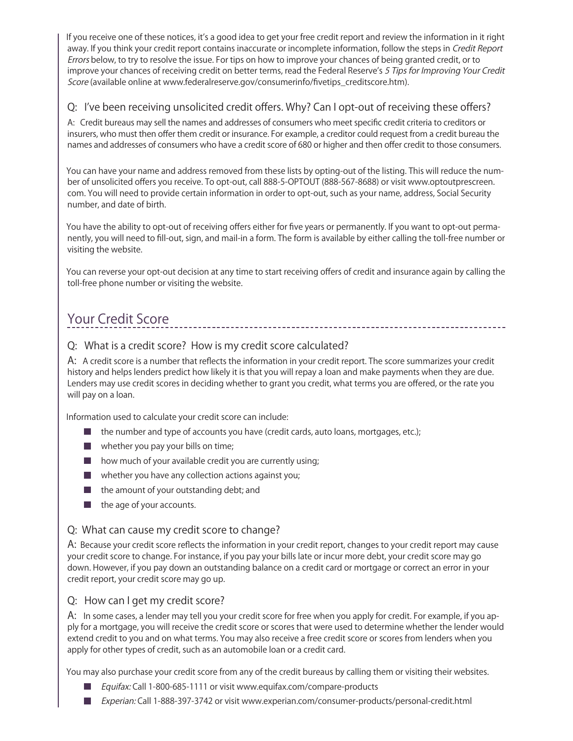If you receive one of these notices, it's a good idea to get your free credit report and review the information in it right away. If you think your credit report contains inaccurate or incomplete information, follow the steps in Credit Report Errors below, to try to resolve the issue. For tips on how to improve your chances of being granted credit, or to improve your chances of receiving credit on better terms, read the Federal Reserve's 5 Tips for Improving Your Credit Score (available online at www.federalreserve.gov/consumerinfo/fivetips\_creditscore.htm).

## Q: I've been receiving unsolicited credit offers. Why? Can I opt-out of receiving these offers?

A: Credit bureaus may sell the names and addresses of consumers who meet specific credit criteria to creditors or insurers, who must then offer them credit or insurance. For example, a creditor could request from a credit bureau the names and addresses of consumers who have a credit score of 680 or higher and then offer credit to those consumers.

You can have your name and address removed from these lists by opting-out of the listing. This will reduce the number of unsolicited offers you receive. To opt-out, call 888-5-OPTOUT (888-567-8688) or visit [www.optoutprescreen.](http://www.optoutprescreen.com) [com.](http://www.optoutprescreen.com) You will need to provide certain information in order to opt-out, such as your name, address, Social Security number, and date of birth.

You have the ability to opt-out of receiving offers either for five years or permanently. If you want to opt-out permanently, you will need to fill-out, sign, and mail-in a form. The form is available by either calling the toll-free number or visiting the website.

You can reverse your opt-out decision at any time to start receiving offers of credit and insurance again by calling the toll-free phone number or visiting the website.

# Your Credit Score

#### Q: What is a credit score? How is my credit score calculated?

A: A credit score is a number that reflects the information in your credit report. The score summarizes your credit history and helps lenders predict how likely it is that you will repay a loan and make payments when they are due. Lenders may use credit scores in deciding whether to grant you credit, what terms you are offered, or the rate you will pay on a loan.

Information used to calculate your credit score can include:

- the number and type of accounts you have (credit cards, auto loans, mortgages, etc.);
- **Now whether you pay your bills on time;**
- $\blacksquare$  how much of your available credit you are currently using;
- **Now in** whether you have any collection actions against you;
- the amount of your outstanding debt; and
- $\blacksquare$  the age of your accounts.

#### Q: What can cause my credit score to change?

A: Because your credit score reflects the information in your credit report, changes to your credit report may cause your credit score to change. For instance, if you pay your bills late or incur more debt, your credit score may go down. However, if you pay down an outstanding balance on a credit card or mortgage or correct an error in your credit report, your credit score may go up.

#### Q: How can I get my credit score?

A: In some cases, a lender may tell you your credit score for free when you apply for credit. For example, if you apply for a mortgage, you will receive the credit score or scores that were used to determine whether the lender would extend credit to you and on what terms. You may also receive a free credit score or scores from lenders when you apply for other types of credit, such as an automobile loan or a credit card.

You may also purchase your credit score from any of the credit bureaus by calling them or visiting their websites.

- Equifax: Call 1-800-685-1111 or visit [www.equifax.com/compare-products](http://www.equifax.com/compare-products)
- *Experian:* Call 1-888-397-3742 or visit [www.experian.com/consumer-products/personal-credit.html](http://www.experian.com/consumer-products/personal-credit.html)